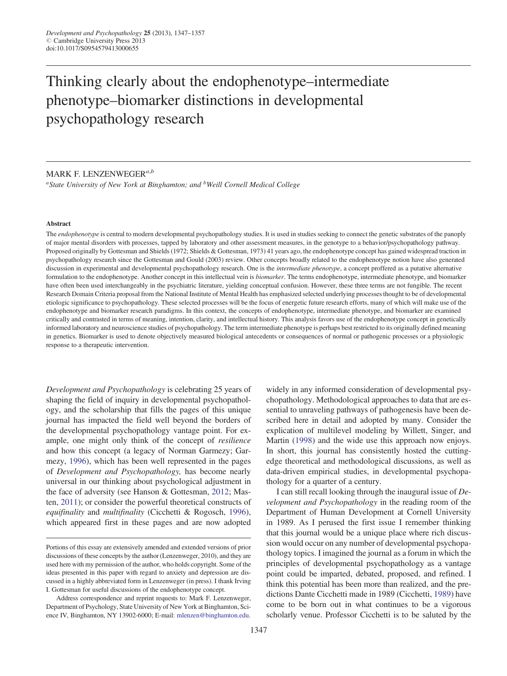# Thinking clearly about the endophenotype–intermediate phenotype–biomarker distinctions in developmental psychopathology research

# MARK F. LENZENWEGER<sup>a,b</sup>

<sup>a</sup>State University of New York at Binghamton; and <sup>b</sup>Weill Cornell Medical College

### Abstract

The endophenotype is central to modern developmental psychopathology studies. It is used in studies seeking to connect the genetic substrates of the panoply of major mental disorders with processes, tapped by laboratory and other assessment measures, in the genotype to a behavior/psychopathology pathway. Proposed originally by Gottesman and Shields (1972; Shields & Gottesman, 1973) 41 years ago, the endophenotype concept has gained widespread traction in psychopathology research since the Gottesman and Gould (2003) review. Other concepts broadly related to the endophenotype notion have also generated discussion in experimental and developmental psychopathology research. One is the *intermediate phenotype*, a concept proffered as a putative alternative formulation to the endophenotype. Another concept in this intellectual vein is biomarker. The terms endophenotype, intermediate phenotype, and biomarker have often been used interchangeably in the psychiatric literature, yielding conceptual confusion. However, these three terms are not fungible. The recent Research Domain Criteria proposal from the National Institute of Mental Health has emphasized selected underlying processes thought to be of developmental etiologic significance to psychopathology. These selected processes will be the focus of energetic future research efforts, many of which will make use of the endophenotype and biomarker research paradigms. In this context, the concepts of endophenotype, intermediate phenotype, and biomarker are examined critically and contrasted in terms of meaning, intention, clarity, and intellectual history. This analysis favors use of the endophenotype concept in genetically informed laboratory and neuroscience studies of psychopathology. The term intermediate phenotype is perhaps best restricted to its originally defined meaning in genetics. Biomarker is used to denote objectively measured biological antecedents or consequences of normal or pathogenic processes or a physiologic response to a therapeutic intervention.

Development and Psychopathology is celebrating 25 years of shaping the field of inquiry in developmental psychopathology, and the scholarship that fills the pages of this unique journal has impacted the field well beyond the borders of the developmental psychopathology vantage point. For example, one might only think of the concept of resilience and how this concept (a legacy of Norman Garmezy; Garmezy, [1996](#page-9-0)), which has been well represented in the pages of Development and Psychopathology, has become nearly universal in our thinking about psychological adjustment in the face of adversity (see Hanson & Gottesman, [2012](#page-9-0); Masten, [2011](#page-9-0)); or consider the powerful theoretical constructs of equifinality and multifinality (Cicchetti & Rogosch, [1996](#page-9-0)), which appeared first in these pages and are now adopted widely in any informed consideration of developmental psychopathology. Methodological approaches to data that are essential to unraveling pathways of pathogenesis have been described here in detail and adopted by many. Consider the explication of multilevel modeling by Willett, Singer, and Martin ([1998\)](#page-10-0) and the wide use this approach now enjoys. In short, this journal has consistently hosted the cuttingedge theoretical and methodological discussions, as well as data-driven empirical studies, in developmental psychopathology for a quarter of a century.

I can still recall looking through the inaugural issue of Development and Psychopathology in the reading room of the Department of Human Development at Cornell University in 1989. As I perused the first issue I remember thinking that this journal would be a unique place where rich discussion would occur on any number of developmental psychopathology topics. I imagined the journal as a forum in which the principles of developmental psychopathology as a vantage point could be imparted, debated, proposed, and refined. I think this potential has been more than realized, and the predictions Dante Cicchetti made in 1989 (Cicchetti, [1989](#page-9-0)) have come to be born out in what continues to be a vigorous scholarly venue. Professor Cicchetti is to be saluted by the

Portions of this essay are extensively amended and extended versions of prior discussions of these concepts by the author (Lenzenweger, 2010), and they are used here with my permission of the author, who holds copyright. Some of the ideas presented in this paper with regard to anxiety and depression are discussed in a highly abbreviated form in Lenzenweger (in press). I thank Irving I. Gottesman for useful discussions of the endophenotype concept.

Address correspondence and reprint requests to: Mark F. Lenzenweger, Department of Psychology, State University of New York at Binghamton, Science IV, Binghamton, NY 13902-6000; E-mail: [mlenzen@binghamton.edu.](mailto:mlenzen@binghamton.edu)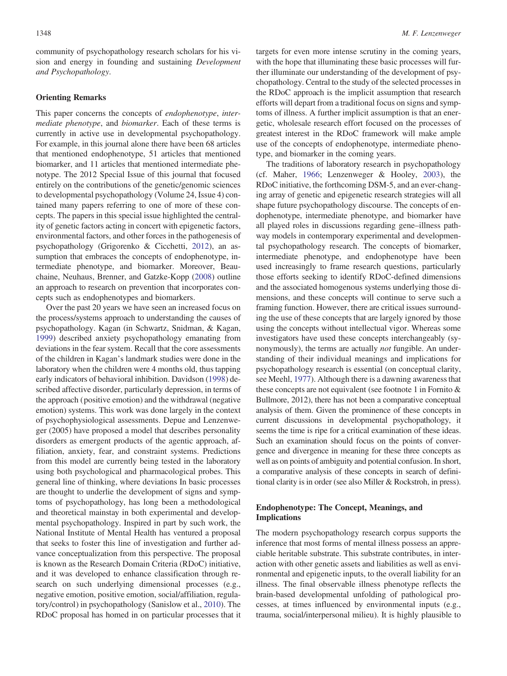community of psychopathology research scholars for his vision and energy in founding and sustaining Development and Psychopathology.

## Orienting Remarks

This paper concerns the concepts of endophenotype, intermediate phenotype, and biomarker. Each of these terms is currently in active use in developmental psychopathology. For example, in this journal alone there have been 68 articles that mentioned endophenotype, 51 articles that mentioned biomarker, and 11 articles that mentioned intermediate phenotype. The 2012 Special Issue of this journal that focused entirely on the contributions of the genetic/genomic sciences to developmental psychopathology (Volume 24, Issue 4) contained many papers referring to one of more of these concepts. The papers in this special issue highlighted the centrality of genetic factors acting in concert with epigenetic factors, environmental factors, and other forces in the pathogenesis of psychopathology (Grigorenko & Cicchetti, [2012\)](#page-9-0), an assumption that embraces the concepts of endophenotype, intermediate phenotype, and biomarker. Moreover, Beauchaine, Neuhaus, Brenner, and Gatzke-Kopp [\(2008](#page-9-0)) outline an approach to research on prevention that incorporates concepts such as endophenotypes and biomarkers.

Over the past 20 years we have seen an increased focus on the process/systems approach to understanding the causes of psychopathology. Kagan (in Schwartz, Snidman, & Kagan, [1999](#page-10-0)) described anxiety psychopathology emanating from deviations in the fear system. Recall that the core assessments of the children in Kagan's landmark studies were done in the laboratory when the children were 4 months old, thus tapping early indicators of behavioral inhibition. Davidson [\(1998](#page-9-0)) described affective disorder, particularly depression, in terms of the approach (positive emotion) and the withdrawal (negative emotion) systems. This work was done largely in the context of psychophysiological assessments. Depue and Lenzenweger (2005) have proposed a model that describes personality disorders as emergent products of the agentic approach, affiliation, anxiety, fear, and constraint systems. Predictions from this model are currently being tested in the laboratory using both psychological and pharmacological probes. This general line of thinking, where deviations In basic processes are thought to underlie the development of signs and symptoms of psychopathology, has long been a methodological and theoretical mainstay in both experimental and developmental psychopathology. Inspired in part by such work, the National Institute of Mental Health has ventured a proposal that seeks to foster this line of investigation and further advance conceptualization from this perspective. The proposal is known as the Research Domain Criteria (RDoC) initiative, and it was developed to enhance classification through research on such underlying dimensional processes (e.g., negative emotion, positive emotion, social/affiliation, regulatory/control) in psychopathology (Sanislow et al., [2010\)](#page-10-0). The RDoC proposal has homed in on particular processes that it targets for even more intense scrutiny in the coming years, with the hope that illuminating these basic processes will further illuminate our understanding of the development of psychopathology. Central to the study of the selected processes in the RDoC approach is the implicit assumption that research efforts will depart from a traditional focus on signs and symptoms of illness. A further implicit assumption is that an energetic, wholesale research effort focused on the processes of greatest interest in the RDoC framework will make ample use of the concepts of endophenotype, intermediate phenotype, and biomarker in the coming years.

The traditions of laboratory research in psychopathology (cf. Maher, [1966;](#page-9-0) Lenzenweger & Hooley, [2003\)](#page-9-0), the RDoC initiative, the forthcoming DSM-5, and an ever-changing array of genetic and epigenetic research strategies will all shape future psychopathology discourse. The concepts of endophenotype, intermediate phenotype, and biomarker have all played roles in discussions regarding gene–illness pathway models in contemporary experimental and developmental psychopathology research. The concepts of biomarker, intermediate phenotype, and endophenotype have been used increasingly to frame research questions, particularly those efforts seeking to identify RDoC-defined dimensions and the associated homogenous systems underlying those dimensions, and these concepts will continue to serve such a framing function. However, there are critical issues surrounding the use of these concepts that are largely ignored by those using the concepts without intellectual vigor. Whereas some investigators have used these concepts interchangeably (synonymously), the terms are actually *not* fungible. An understanding of their individual meanings and implications for psychopathology research is essential (on conceptual clarity, see Meehl, [1977](#page-9-0)). Although there is a dawning awareness that these concepts are not equivalent (see footnote 1 in Fornito & Bullmore, 2012), there has not been a comparative conceptual analysis of them. Given the prominence of these concepts in current discussions in developmental psychopathology, it seems the time is ripe for a critical examination of these ideas. Such an examination should focus on the points of convergence and divergence in meaning for these three concepts as well as on points of ambiguity and potential confusion. In short, a comparative analysis of these concepts in search of definitional clarity is in order (see also Miller & Rockstroh, in press).

# Endophenotype: The Concept, Meanings, and Implications

The modern psychopathology research corpus supports the inference that most forms of mental illness possess an appreciable heritable substrate. This substrate contributes, in interaction with other genetic assets and liabilities as well as environmental and epigenetic inputs, to the overall liability for an illness. The final observable illness phenotype reflects the brain-based developmental unfolding of pathological processes, at times influenced by environmental inputs (e.g., trauma, social/interpersonal milieu). It is highly plausible to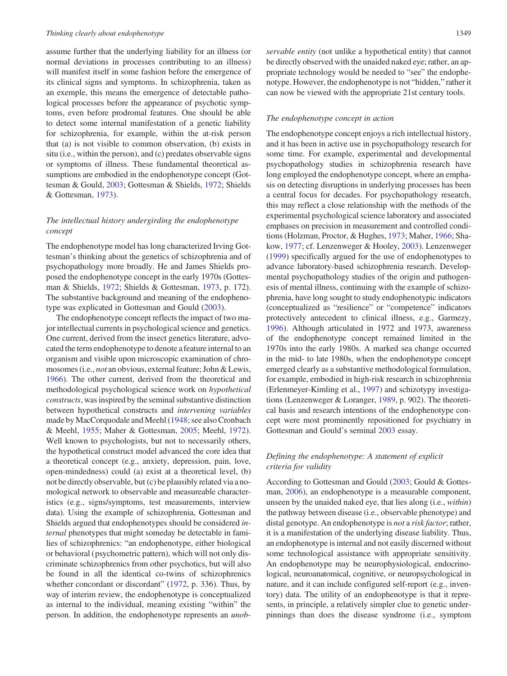assume further that the underlying liability for an illness (or normal deviations in processes contributing to an illness) will manifest itself in some fashion before the emergence of its clinical signs and symptoms. In schizophrenia, taken as an exemple, this means the emergence of detectable pathological processes before the appearance of psychotic symptoms, even before prodromal features. One should be able to detect some internal manifestation of a genetic liability for schizophrenia, for example, within the at-risk person that (a) is not visible to common observation, (b) exists in situ (i.e., within the person), and (c) predates observable signs or symptoms of illness. These fundamental theoretical assumptions are embodied in the endophenotype concept (Gottesman & Gould, [2003;](#page-9-0) Gottesman & Shields, [1972;](#page-9-0) Shields & Gottesman, [1973\)](#page-10-0).

# The intellectual history undergirding the endophenotype concept

The endophenotype model has long characterized Irving Gottesman's thinking about the genetics of schizophrenia and of psychopathology more broadly. He and James Shields proposed the endophenotype concept in the early 1970s (Gottesman & Shields, [1972;](#page-9-0) Shields & Gottesman, [1973](#page-10-0), p. 172). The substantive background and meaning of the endophenotype was explicated in Gottesman and Gould [\(2003](#page-9-0)).

The endophenotype concept reflects the impact of two major intellectual currents in psychological science and genetics. One current, derived from the insect genetics literature, advocated the term endophenotype to denote a feature internal to an organism and visible upon microscopic examination of chromosomes (i.e., not an obvious, external feature; John & Lewis, [1966](#page-9-0)). The other current, derived from the theoretical and methodological psychological science work on hypothetical constructs, was inspired by the seminal substantive distinction between hypothetical constructs and intervening variables made by MacCorquodale and Meehl ([1948;](#page-9-0) see also Cronbach & Meehl, [1955](#page-9-0); Maher & Gottesman, [2005](#page-9-0); Meehl, [1972](#page-9-0)). Well known to psychologists, but not to necessarily others, the hypothetical construct model advanced the core idea that a theoretical concept (e.g., anxiety, depression, pain, love, open-mindedness) could (a) exist at a theoretical level, (b) not be directly observable, but (c) be plausibly related via a nomological network to observable and measureable characteristics (e.g., signs/symptoms, test measurements, interview data). Using the example of schizophrenia, Gottesman and Shields argued that endophenotypes should be considered internal phenotypes that might someday be detectable in families of schizophrenics: "an endophenotype, either biological or behavioral (psychometric pattern), which will not only discriminate schizophrenics from other psychotics, but will also be found in all the identical co-twins of schizophrenics whether concordant or discordant" ([1972,](#page-9-0) p. 336). Thus, by way of interim review, the endophenotype is conceptualized as internal to the individual, meaning existing "within" the person. In addition, the endophenotype represents an unobservable entity (not unlike a hypothetical entity) that cannot be directly observed with the unaided naked eye; rather, an appropriate technology would be needed to "see" the endophenotype. However, the endophenotype is not "hidden," rather it can now be viewed with the appropriate 21st century tools.

#### The endophenotype concept in action

The endophenotype concept enjoys a rich intellectual history, and it has been in active use in psychopathology research for some time. For example, experimental and developmental psychopathology studies in schizophrenia research have long employed the endophenotype concept, where an emphasis on detecting disruptions in underlying processes has been a central focus for decades. For psychopathology research, this may reflect a close relationship with the methods of the experimental psychological science laboratory and associated emphases on precision in measurement and controlled conditions (Holzman, Proctor, & Hughes, [1973;](#page-9-0) Maher, [1966](#page-9-0); Shakow, [1977;](#page-10-0) cf. Lenzenweger & Hooley, [2003\)](#page-9-0). Lenzenweger [\(1999](#page-9-0)) specifically argued for the use of endophenotypes to advance laboratory-based schizophrenia research. Developmental psychopathology studies of the origin and pathogenesis of mental illness, continuing with the example of schizophrenia, have long sought to study endophenotypic indicators (conceptualized as "resilience" or "competence" indicators protectively antecedent to clinical illness, e.g., Garmezy, [1996\)](#page-9-0). Although articulated in 1972 and 1973, awareness of the endophenotype concept remained limited in the 1970s into the early 1980s. A marked sea change occurred in the mid- to late 1980s, when the endophenotype concept emerged clearly as a substantive methodological formulation, for example, embodied in high-risk research in schizophrenia (Erlenmeyer-Kimling et al., [1997\)](#page-9-0) and schizotypy investigations (Lenzenweger & Loranger, [1989](#page-9-0), p. 902). The theoretical basis and research intentions of the endophenotype concept were most prominently repositioned for psychiatry in Gottesman and Gould's seminal [2003](#page-9-0) essay.

# Defining the endophenotype: A statement of explicit criteria for validity

According to Gottesman and Gould ([2003;](#page-9-0) Gould & Gottesman, [2006\)](#page-9-0), an endophenotype is a measurable component, unseen by the unaided naked eye, that lies along (i.e., within) the pathway between disease (i.e., observable phenotype) and distal genotype. An endophenotype is *not* a *risk factor*; rather, it is a manifestation of the underlying disease liability. Thus, an endophenotype is internal and not easily discerned without some technological assistance with appropriate sensitivity. An endophenotype may be neurophysiological, endocrinological, neuroanatomical, cognitive, or neuropsychological in nature, and it can include configured self-report (e.g., inventory) data. The utility of an endophenotype is that it represents, in principle, a relatively simpler clue to genetic underpinnings than does the disease syndrome (i.e., symptom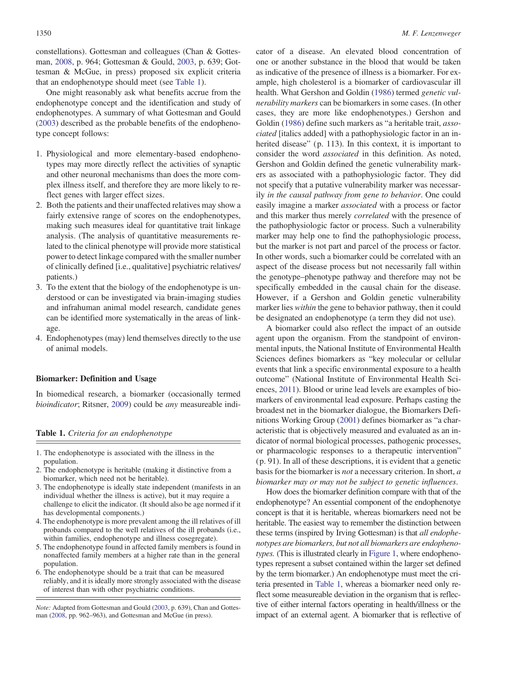constellations). Gottesman and colleagues (Chan & Gottesman, [2008](#page-9-0), p. 964; Gottesman & Gould, [2003,](#page-9-0) p. 639; Gottesman & McGue, in press) proposed six explicit criteria that an endophenotype should meet (see Table 1).

One might reasonably ask what benefits accrue from the endophenotype concept and the identification and study of endophenotypes. A summary of what Gottesman and Gould [\(2003](#page-9-0)) described as the probable benefits of the endophenotype concept follows:

- 1. Physiological and more elementary-based endophenotypes may more directly reflect the activities of synaptic and other neuronal mechanisms than does the more complex illness itself, and therefore they are more likely to reflect genes with larger effect sizes.
- 2. Both the patients and their unaffected relatives may show a fairly extensive range of scores on the endophenotypes, making such measures ideal for quantitative trait linkage analysis. (The analysis of quantitative measurements related to the clinical phenotype will provide more statistical power to detect linkage compared with the smaller number of clinically defined [i.e., qualitative] psychiatric relatives/ patients.)
- 3. To the extent that the biology of the endophenotype is understood or can be investigated via brain-imaging studies and infrahuman animal model research, candidate genes can be identified more systematically in the areas of linkage.
- 4. Endophenotypes (may) lend themselves directly to the use of animal models.

## Biomarker: Definition and Usage

In biomedical research, a biomarker (occasionally termed bioindicator; Ritsner, [2009\)](#page-10-0) could be any measureable indi-

#### Table 1. Criteria for an endophenotype

- 1. The endophenotype is associated with the illness in the population.
- 2. The endophenotype is heritable (making it distinctive from a biomarker, which need not be heritable).
- 3. The endophenotype is ideally state independent (manifests in an individual whether the illness is active), but it may require a challenge to elicit the indicator. (It should also be age normed if it has developmental components.)
- 4. The endophenotype is more prevalent among the ill relatives of ill probands compared to the well relatives of the ill probands (i.e., within families, endophenotype and illness cosegregate).
- 5. The endophenotype found in affected family members is found in nonaffected family members at a higher rate than in the general population.
- 6. The endophenotype should be a trait that can be measured reliably, and it is ideally more strongly associated with the disease of interest than with other psychiatric conditions.

Note: Adapted from Gottesman and Gould ([2003,](#page-9-0) p. 639), Chan and Gottesman [\(2008](#page-9-0), pp. 962–963), and Gottesman and McGue (in press).

cator of a disease. An elevated blood concentration of one or another substance in the blood that would be taken as indicative of the presence of illness is a biomarker. For example, high cholesterol is a biomarker of cardiovascular ill health. What Gershon and Goldin [\(1986](#page-9-0)) termed genetic vulnerability markers can be biomarkers in some cases. (In other cases, they are more like endophenotypes.) Gershon and Goldin [\(1986](#page-9-0)) define such markers as "a heritable trait, associated [italics added] with a pathophysiologic factor in an inherited disease" (p. 113). In this context, it is important to consider the word associated in this definition. As noted, Gershon and Goldin defined the genetic vulnerability markers as associated with a pathophysiologic factor. They did not specify that a putative vulnerability marker was necessarily in the causal pathway from gene to behavior. One could easily imagine a marker associated with a process or factor and this marker thus merely correlated with the presence of the pathophysiologic factor or process. Such a vulnerability marker may help one to find the pathophysiologic process, but the marker is not part and parcel of the process or factor. In other words, such a biomarker could be correlated with an aspect of the disease process but not necessarily fall within the genotype–phenotype pathway and therefore may not be specifically embedded in the causal chain for the disease. However, if a Gershon and Goldin genetic vulnerability marker lies *within* the gene to behavior pathway, then it could be designated an endophenotype (a term they did not use).

A biomarker could also reflect the impact of an outside agent upon the organism. From the standpoint of environmental inputs, the National Institute of Environmental Health Sciences defines biomarkers as "key molecular or cellular events that link a specific environmental exposure to a health outcome" (National Institute of Environmental Health Sciences, [2011\)](#page-10-0). Blood or urine lead levels are examples of biomarkers of environmental lead exposure. Perhaps casting the broadest net in the biomarker dialogue, the Biomarkers Definitions Working Group [\(2001](#page-9-0)) defines biomarker as "a characteristic that is objectively measured and evaluated as an indicator of normal biological processes, pathogenic processes, or pharmacologic responses to a therapeutic intervention" (p. 91). In all of these descriptions, it is evident that a genetic basis for the biomarker is not a necessary criterion. In short, a biomarker may or may not be subject to genetic influences.

How does the biomarker definition compare with that of the endophenotype? An essential component of the endophenotye concept is that it is heritable, whereas biomarkers need not be heritable. The easiest way to remember the distinction between these terms (inspired by Irving Gottesman) is that all endophenotypes are biomarkers, but not all biomarkers are endophenotypes. (This is illustrated clearly in [Figure 1](#page-4-0), where endophenotypes represent a subset contained within the larger set defined by the term biomarker.) An endophenotype must meet the criteria presented in Table 1, whereas a biomarker need only reflect some measureable deviation in the organism that is reflective of either internal factors operating in health/illness or the impact of an external agent. A biomarker that is reflective of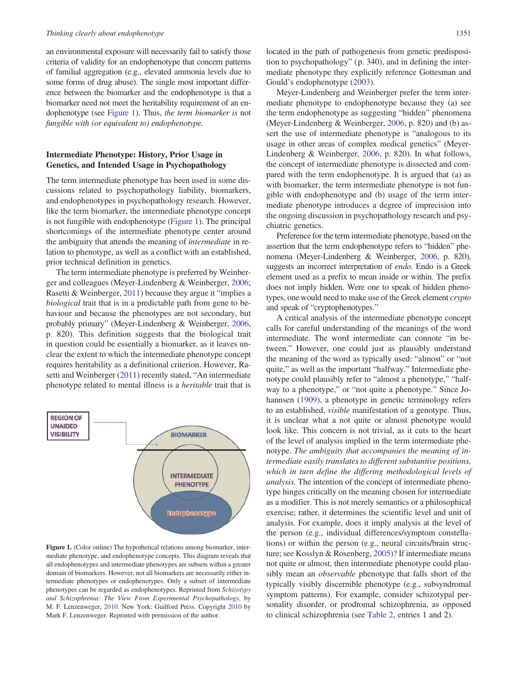#### <span id="page-4-0"></span>Thinking clearly about endophenotype 1351

an environmental exposure will necessarily fail to satisfy those criteria of validity for an endophenotype that concern patterns of familial aggregation (e.g., elevated ammonia levels due to some forms of drug abuse). The single most important difference between the biomarker and the endophenotype is that a biomarker need not meet the heritability requirement of an endophenotype (see Figure 1). Thus, the term biomarker is not fungible with (or equivalent to) endophenotype.

# Intermediate Phenotype: History, Prior Usage in Genetics, and Intended Usage in Psychopathology

The term intermediate phenotype has been used in some discussions related to psychopathology liability, biomarkers, and endophenotypes in psychopathology research. However, like the term biomarker, the intermediate phenotype concept is not fungible with endophenotype (Figure 1). The principal shortcomings of the intermediate phenotype center around the ambiguity that attends the meaning of intermediate in relation to phenotype, as well as a conflict with an established, prior technical definition in genetics.

The term intermediate phenotype is preferred by Weinberger and colleagues (Meyer-Lindenberg & Weinberger, [2006](#page-9-0); Rasetti & Weinberger, [2011\)](#page-10-0) because they argue it "implies a biological trait that is in a predictable path from gene to behaviour and because the phenotypes are not secondary, but probably primary" (Meyer-Lindenberg & Weinberger, [2006,](#page-9-0) p. 820). This definition suggests that the biological trait in question could be essentially a biomarker, as it leaves unclear the extent to which the intermediate phenotype concept requires heritability as a definitional criterion. However, Rasetti and Weinberger [\(2011](#page-10-0)) recently stated, "An intermediate phenotype related to mental illness is a heritable trait that is



Figure 1. (Color online) The hypothetical relations among biomarker, intermediate phenotype, and endophenotype concepts. This diagram reveals that all endophenotypes and intermediate phenotypes are subsets within a greater domain of biomarkers. However, not all biomarkers are necessarily either intermediate phenotypes or endophenotypes. Only a subset of intermediate phenotypes can be regarded as endophenotypes. Reprinted from Schizotypy and Schizophrenia: The View From Experimental Psychopathology, by M. F. Lenzenweger, [2010.](#page-9-0) New York: Guilford Press. Copyright [2010](#page-9-0) by Mark F. Lenzenweger. Reprinted with permission of the author.

located in the path of pathogenesis from genetic predisposition to psychopathology" (p. 340), and in defining the intermediate phenotype they explicitly reference Gottesman and Gould's endophenotype ([2003\)](#page-9-0).

Meyer-Lindenberg and Weinberger prefer the term intermediate phenotype to endophenotype because they (a) see the term endophenotype as suggesting "hidden" phenomena (Meyer-Lindenberg & Weinberger, [2006,](#page-9-0) p. 820) and (b) assert the use of intermediate phenotype is "analogous to its usage in other areas of complex medical genetics" (Meyer-Lindenberg & Weinberger, [2006,](#page-9-0) p. 820). In what follows, the concept of intermediate phenotype is dissected and compared with the term endophenotype. It is argued that (a) as with biomarker, the term intermediate phenotype is not fungible with endophenotype and (b) usage of the term intermediate phenotype introduces a degree of imprecision into the ongoing discussion in psychopathology research and psychiatric genetics.

Preference for the term intermediate phenotype, based on the assertion that the term endophenotype refers to "hidden" phenomena (Meyer-Lindenberg & Weinberger, [2006](#page-9-0), p. 820), suggests an incorrect interpretation of endo. Endo is a Greek element used as a prefix to mean inside or within. The prefix does not imply hidden. Were one to speak of hidden phenotypes, one would need to make use of the Greek element crypto and speak of "cryptophenotypes."

A critical analysis of the intermediate phenotype concept calls for careful understanding of the meanings of the word intermediate. The word intermediate can connote "in between." However, one could just as plausibly understand the meaning of the word as typically used: "almost" or "not quite," as well as the important "halfway." Intermediate phenotype could plausibly refer to "almost a phenotype," "halfway to a phenotype," or "not quite a phenotype." Since Johannsen ([1909\)](#page-9-0), a phenotype in genetic terminology refers to an established, visible manifestation of a genotype. Thus, it is unclear what a not quite or almost phenotype would look like. This concern is not trivial, as it cuts to the heart of the level of analysis implied in the term intermediate phenotype. The ambiguity that accompanies the meaning of intermediate easily translates to different substantive positions, which in turn define the differing methodological levels of analysis. The intention of the concept of intermediate phenotype hinges critically on the meaning chosen for intermediate as a modifier. This is not merely semantics or a philosophical exercise; rather, it determines the scientific level and unit of analysis. For example, does it imply analysis at the level of the person (e.g., individual differences/symptom constellations) or within the person (e.g., neural circuits/brain structure; see Kosslyn & Rosenberg, [2005\)](#page-9-0)? If intermediate means not quite or almost, then intermediate phenotype could plausibly mean an observable phenotype that falls short of the typically visibly discernible phenotype (e.g., subsyndromal symptom patterns). For example, consider schizotypal personality disorder, or prodromal schizophrenia, as opposed to clinical schizophrenia (see [Table 2,](#page-5-0) entries 1 and 2).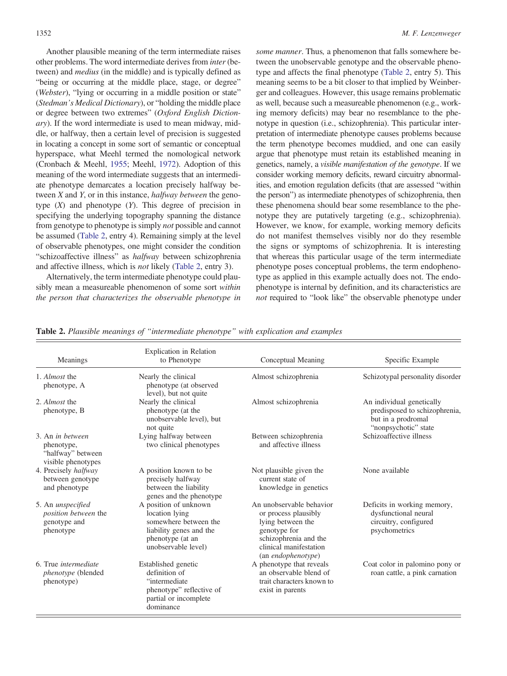<span id="page-5-0"></span>Another plausible meaning of the term intermediate raises other problems. The word intermediate derives from inter (between) and medius (in the middle) and is typically defined as "being or occurring at the middle place, stage, or degree" (Webster), "lying or occurring in a middle position or state" (Stedman's Medical Dictionary), or "holding the middle place or degree between two extremes" (Oxford English Dictionary). If the word intermediate is used to mean midway, middle, or halfway, then a certain level of precision is suggested in locating a concept in some sort of semantic or conceptual hyperspace, what Meehl termed the nomological network (Cronbach & Meehl, [1955;](#page-9-0) Meehl, [1972](#page-9-0)). Adoption of this meaning of the word intermediate suggests that an intermediate phenotype demarcates a location precisely halfway between X and Y, or in this instance, *halfway between* the genotype  $(X)$  and phenotype  $(Y)$ . This degree of precision in specifying the underlying topography spanning the distance from genotype to phenotype is simply not possible and cannot be assumed (Table 2, entry 4). Remaining simply at the level of observable phenotypes, one might consider the condition "schizoaffective illness" as halfway between schizophrenia and affective illness, which is not likely (Table 2, entry 3).

Alternatively, the term intermediate phenotype could plausibly mean a measureable phenomenon of some sort within the person that characterizes the observable phenotype in some manner. Thus, a phenomenon that falls somewhere between the unobservable genotype and the observable phenotype and affects the final phenotype (Table 2, entry 5). This meaning seems to be a bit closer to that implied by Weinberger and colleagues. However, this usage remains problematic as well, because such a measureable phenomenon (e.g., working memory deficits) may bear no resemblance to the phenotype in question (i.e., schizophrenia). This particular interpretation of intermediate phenotype causes problems because the term phenotype becomes muddied, and one can easily argue that phenotype must retain its established meaning in genetics, namely, a visible manifestation of the genotype. If we consider working memory deficits, reward circuitry abnormalities, and emotion regulation deficits (that are assessed "within the person") as intermediate phenotypes of schizophrenia, then these phenomena should bear some resemblance to the phenotype they are putatively targeting (e.g., schizophrenia). However, we know, for example, working memory deficits do not manifest themselves visibly nor do they resemble the signs or symptoms of schizophrenia. It is interesting that whereas this particular usage of the term intermediate phenotype poses conceptual problems, the term endophenotype as applied in this example actually does not. The endophenotype is internal by definition, and its characteristics are not required to "look like" the observable phenotype under

| Meanings                                                                             | <b>Explication</b> in Relation<br>to Phenotype                                                                                         | Conceptual Meaning                                                                                                                                                     | Specific Example                                                                                         |
|--------------------------------------------------------------------------------------|----------------------------------------------------------------------------------------------------------------------------------------|------------------------------------------------------------------------------------------------------------------------------------------------------------------------|----------------------------------------------------------------------------------------------------------|
| 1. Almost the<br>phenotype, A                                                        | Nearly the clinical<br>phenotype (at observed<br>level), but not quite                                                                 | Almost schizophrenia                                                                                                                                                   | Schizotypal personality disorder                                                                         |
| 2. Almost the<br>phenotype, B                                                        | Nearly the clinical<br>phenotype (at the<br>unobservable level), but<br>not quite                                                      | Almost schizophrenia                                                                                                                                                   | An individual genetically<br>predisposed to schizophrenia,<br>but in a prodromal<br>"nonpsychotic" state |
| 3. An in hetween<br>phenotype,<br>"halfway" between<br>visible phenotypes            | Lying halfway between<br>two clinical phenotypes                                                                                       | Between schizophrenia<br>and affective illness                                                                                                                         | Schizoaffective illness                                                                                  |
| 4. Precisely halfway<br>between genotype<br>and phenotype                            | A position known to be<br>precisely halfway<br>between the liability<br>genes and the phenotype                                        | Not plausible given the<br>current state of<br>knowledge in genetics                                                                                                   | None available                                                                                           |
| 5. An <i>unspecified</i><br><i>position between the</i><br>genotype and<br>phenotype | A position of unknown<br>location lying<br>somewhere between the<br>liability genes and the<br>phenotype (at an<br>unobservable level) | An unobservable behavior<br>or process plausibly<br>lying between the<br>genotype for<br>schizophrenia and the<br>clinical manifestation<br>(an <i>endophenotype</i> ) | Deficits in working memory,<br>dysfunctional neural<br>circuitry, configured<br>psychometrics            |
| 6. True <i>intermediate</i><br><i>phenotype</i> (blended<br>phenotype)               | Established genetic<br>definition of<br>"intermediate"<br>phenotype" reflective of<br>partial or incomplete<br>dominance               | A phenotype that reveals<br>an observable blend of<br>trait characters known to<br>exist in parents                                                                    | Coat color in palomino pony or<br>roan cattle, a pink carnation                                          |

Table 2. Plausible meanings of "intermediate phenotype" with explication and examples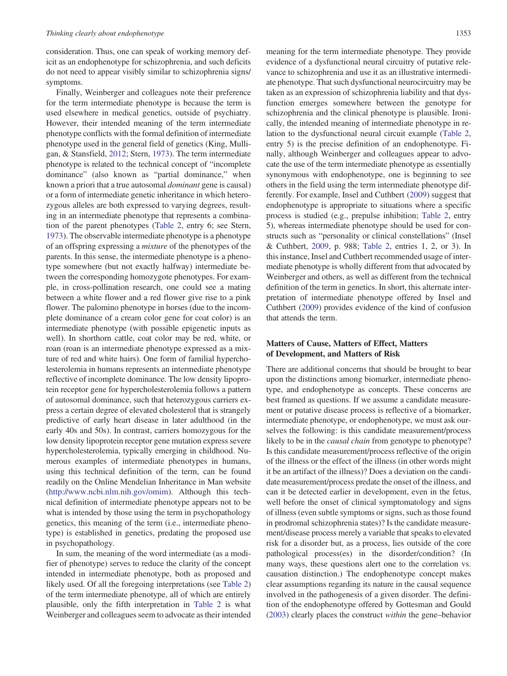consideration. Thus, one can speak of working memory deficit as an endophenotype for schizophrenia, and such deficits do not need to appear visibly similar to schizophrenia signs/ symptoms.

Finally, Weinberger and colleagues note their preference for the term intermediate phenotype is because the term is used elsewhere in medical genetics, outside of psychiatry. However, their intended meaning of the term intermediate phenotype conflicts with the formal definition of intermediate phenotype used in the general field of genetics (King, Mulligan, & Stansfield, [2012;](#page-9-0) Stern, [1973\)](#page-10-0). The term intermediate phenotype is related to the technical concept of "incomplete dominance" (also known as "partial dominance," when known a priori that a true autosomal dominant gene is causal) or a form of intermediate genetic inheritance in which heterozygous alleles are both expressed to varying degrees, resulting in an intermediate phenotype that represents a combination of the parent phenotypes ([Table 2,](#page-5-0) entry 6; see Stern, [1973](#page-10-0)). The observable intermediate phenotype is a phenotype of an offspring expressing a mixture of the phenotypes of the parents. In this sense, the intermediate phenotype is a phenotype somewhere (but not exactly halfway) intermediate between the corresponding homozygote phenotypes. For example, in cross-pollination research, one could see a mating between a white flower and a red flower give rise to a pink flower. The palomino phenotype in horses (due to the incomplete dominance of a cream color gene for coat color) is an intermediate phenotype (with possible epigenetic inputs as well). In shorthorn cattle, coat color may be red, white, or roan (roan is an intermediate phenotype expressed as a mixture of red and white hairs). One form of familial hypercholesterolemia in humans represents an intermediate phenotype reflective of incomplete dominance. The low density lipoprotein receptor gene for hypercholesterolemia follows a pattern of autosomal dominance, such that heterozygous carriers express a certain degree of elevated cholesterol that is strangely predictive of early heart disease in later adulthood (in the early 40s and 50s). In contrast, carriers homozygous for the low density lipoprotein receptor gene mutation express severe hypercholesterolemia, typically emerging in childhood. Numerous examples of intermediate phenotypes in humans, using this technical definition of the term, can be found readily on the Online Mendelian Inheritance in Man website [\(http://www.ncbi.nlm.nih.gov/omim](http://www.ncbi.nlm.nih.gov/omim)). Although this technical definition of intermediate phenotype appears not to be what is intended by those using the term in psychopathology genetics, this meaning of the term (i.e., intermediate phenotype) is established in genetics, predating the proposed use in psychopathology.

In sum, the meaning of the word intermediate (as a modifier of phenotype) serves to reduce the clarity of the concept intended in intermediate phenotype, both as proposed and likely used. Of all the foregoing interpretations (see [Table 2\)](#page-5-0) of the term intermediate phenotype, all of which are entirely plausible, only the fifth interpretation in [Table 2](#page-5-0) is what Weinberger and colleagues seem to advocate as their intended

meaning for the term intermediate phenotype. They provide evidence of a dysfunctional neural circuitry of putative relevance to schizophrenia and use it as an illustrative intermediate phenotype. That such dysfunctional neurocircuitry may be taken as an expression of schizophrenia liability and that dysfunction emerges somewhere between the genotype for schizophrenia and the clinical phenotype is plausible. Ironically, the intended meaning of intermediate phenotype in relation to the dysfunctional neural circuit example ([Table 2](#page-5-0), entry 5) is the precise definition of an endophenotype. Finally, although Weinberger and colleagues appear to advocate the use of the term intermediate phenotype as essentially synonymous with endophenotype, one is beginning to see others in the field using the term intermediate phenotype differently. For example, Insel and Cuthbert ([2009\)](#page-9-0) suggest that endophenotype is appropriate to situations where a specific process is studied (e.g., prepulse inhibition; [Table 2](#page-5-0), entry 5), whereas intermediate phenotype should be used for constructs such as "personality or clinical constellations" (Insel & Cuthbert, [2009](#page-9-0), p. 988; [Table 2](#page-5-0), entries 1, 2, or 3). In this instance, Insel and Cuthbert recommended usage of intermediate phenotype is wholly different from that advocated by Weinberger and others, as well as different from the technical definition of the term in genetics. In short, this alternate interpretation of intermediate phenotype offered by Insel and Cuthbert [\(2009](#page-9-0)) provides evidence of the kind of confusion that attends the term.

# Matters of Cause, Matters of Effect, Matters of Development, and Matters of Risk

There are additional concerns that should be brought to bear upon the distinctions among biomarker, intermediate phenotype, and endophenotype as concepts. These concerns are best framed as questions. If we assume a candidate measurement or putative disease process is reflective of a biomarker, intermediate phenotype, or endophenotype, we must ask ourselves the following: is this candidate measurement/process likely to be in the *causal chain* from genotype to phenotype? Is this candidate measurement/process reflective of the origin of the illness or the effect of the illness (in other words might it be an artifact of the illness)? Does a deviation on the candidate measurement/process predate the onset of the illness, and can it be detected earlier in development, even in the fetus, well before the onset of clinical symptomatology and signs of illness (even subtle symptoms or signs, such as those found in prodromal schizophrenia states)? Is the candidate measurement/disease process merely a variable that speaks to elevated risk for a disorder but, as a process, lies outside of the core pathological process(es) in the disorder/condition? (In many ways, these questions alert one to the correlation vs. causation distinction.) The endophenotype concept makes clear assumptions regarding its nature in the causal sequence involved in the pathogenesis of a given disorder. The definition of the endophenotype offered by Gottesman and Gould [\(2003](#page-9-0)) clearly places the construct within the gene–behavior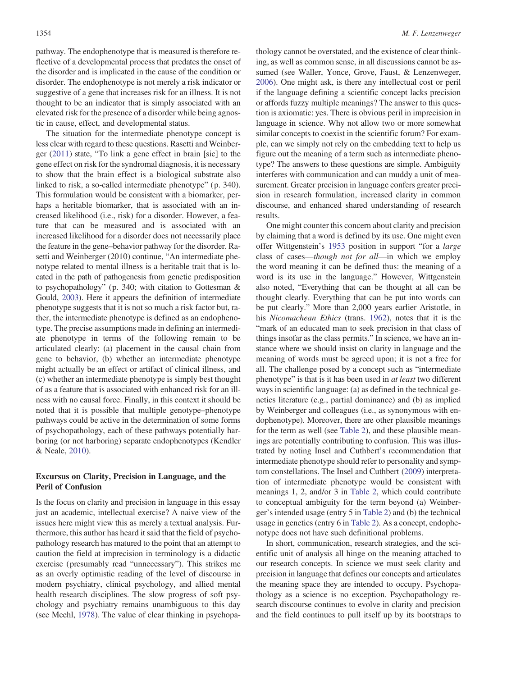pathway. The endophenotype that is measured is therefore reflective of a developmental process that predates the onset of the disorder and is implicated in the cause of the condition or disorder. The endophenotype is not merely a risk indicator or suggestive of a gene that increases risk for an illness. It is not thought to be an indicator that is simply associated with an elevated risk for the presence of a disorder while being agnostic in cause, effect, and developmental status.

The situation for the intermediate phenotype concept is less clear with regard to these questions. Rasetti and Weinberger [\(2011](#page-10-0)) state, "To link a gene effect in brain [sic] to the gene effect on risk for the syndromal diagnosis, it is necessary to show that the brain effect is a biological substrate also linked to risk, a so-called intermediate phenotype" (p. 340). This formulation would be consistent with a biomarker, perhaps a heritable biomarker, that is associated with an increased likelihood (i.e., risk) for a disorder. However, a feature that can be measured and is associated with an increased likelihood for a disorder does not necessarily place the feature in the gene–behavior pathway for the disorder. Rasetti and Weinberger (2010) continue, "An intermediate phenotype related to mental illness is a heritable trait that is located in the path of pathogenesis from genetic predisposition to psychopathology" (p. 340; with citation to Gottesman & Gould, [2003](#page-9-0)). Here it appears the definition of intermediate phenotype suggests that it is not so much a risk factor but, rather, the intermediate phenotype is defined as an endophenotype. The precise assumptions made in defining an intermediate phenotype in terms of the following remain to be articulated clearly: (a) placement in the causal chain from gene to behavior, (b) whether an intermediate phenotype might actually be an effect or artifact of clinical illness, and (c) whether an intermediate phenotype is simply best thought of as a feature that is associated with enhanced risk for an illness with no causal force. Finally, in this context it should be noted that it is possible that multiple genotype–phenotype pathways could be active in the determination of some forms of psychopathology, each of these pathways potentially harboring (or not harboring) separate endophenotypes (Kendler & Neale, [2010\)](#page-9-0).

# Excursus on Clarity, Precision in Language, and the Peril of Confusion

Is the focus on clarity and precision in language in this essay just an academic, intellectual exercise? A naive view of the issues here might view this as merely a textual analysis. Furthermore, this author has heard it said that the field of psychopathology research has matured to the point that an attempt to caution the field at imprecision in terminology is a didactic exercise (presumably read "unnecessary"). This strikes me as an overly optimistic reading of the level of discourse in modern psychiatry, clinical psychology, and allied mental health research disciplines. The slow progress of soft psychology and psychiatry remains unambiguous to this day (see Meehl, [1978](#page-9-0)). The value of clear thinking in psychopathology cannot be overstated, and the existence of clear thinking, as well as common sense, in all discussions cannot be assumed (see Waller, Yonce, Grove, Faust, & Lenzenweger, [2006](#page-10-0)). One might ask, is there any intellectual cost or peril if the language defining a scientific concept lacks precision or affords fuzzy multiple meanings? The answer to this question is axiomatic: yes. There is obvious peril in imprecision in language in science. Why not allow two or more somewhat similar concepts to coexist in the scientific forum? For example, can we simply not rely on the embedding text to help us figure out the meaning of a term such as intermediate phenotype? The answers to these questions are simple. Ambiguity interferes with communication and can muddy a unit of measurement. Greater precision in language confers greater precision in research formulation, increased clarity in common discourse, and enhanced shared understanding of research results.

One might counter this concern about clarity and precision by claiming that a word is defined by its use. One might even offer Wittgenstein's [1953](#page-10-0) position in support "for a large class of cases—though not for all—in which we employ the word meaning it can be defined thus: the meaning of a word is its use in the language." However, Wittgenstein also noted, "Everything that can be thought at all can be thought clearly. Everything that can be put into words can be put clearly." More than 2,000 years earlier Aristotle, in his Nicomachean Ethics (trans. [1962](#page-9-0)), notes that it is the "mark of an educated man to seek precision in that class of things insofar as the class permits." In science, we have an instance where we should insist on clarity in language and the meaning of words must be agreed upon; it is not a free for all. The challenge posed by a concept such as "intermediate phenotype" is that is it has been used in at least two different ways in scientific language: (a) as defined in the technical genetics literature (e.g., partial dominance) and (b) as implied by Weinberger and colleagues (i.e., as synonymous with endophenotype). Moreover, there are other plausible meanings for the term as well (see [Table 2](#page-5-0)), and these plausible meanings are potentially contributing to confusion. This was illustrated by noting Insel and Cuthbert's recommendation that intermediate phenotype should refer to personality and symptom constellations. The Insel and Cuthbert ([2009\)](#page-9-0) interpretation of intermediate phenotype would be consistent with meanings 1, 2, and/or 3 in [Table 2](#page-5-0), which could contribute to conceptual ambiguity for the term beyond (a) Weinberger's intended usage (entry 5 in [Table 2\)](#page-5-0) and (b) the technical usage in genetics (entry 6 in [Table 2\)](#page-5-0). As a concept, endophenotype does not have such definitional problems.

In short, communication, research strategies, and the scientific unit of analysis all hinge on the meaning attached to our research concepts. In science we must seek clarity and precision in language that defines our concepts and articulates the meaning space they are intended to occupy. Psychopathology as a science is no exception. Psychopathology research discourse continues to evolve in clarity and precision and the field continues to pull itself up by its bootstraps to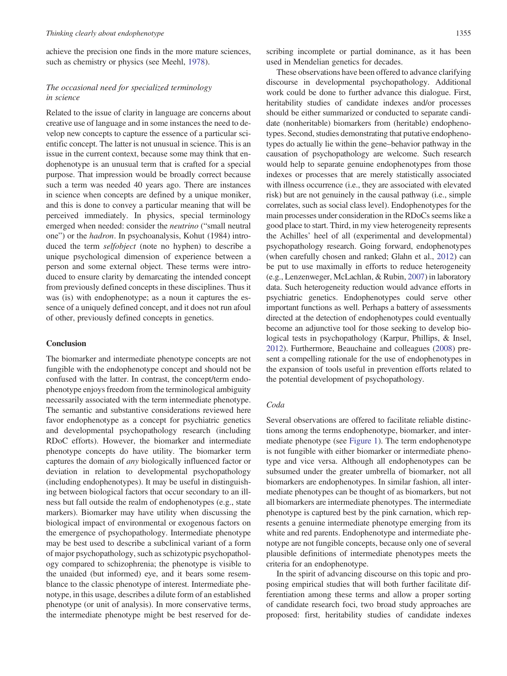achieve the precision one finds in the more mature sciences, such as chemistry or physics (see Meehl, [1978](#page-9-0)).

# The occasional need for specialized terminology in science

Related to the issue of clarity in language are concerns about creative use of language and in some instances the need to develop new concepts to capture the essence of a particular scientific concept. The latter is not unusual in science. This is an issue in the current context, because some may think that endophenotype is an unusual term that is crafted for a special purpose. That impression would be broadly correct because such a term was needed 40 years ago. There are instances in science when concepts are defined by a unique moniker, and this is done to convey a particular meaning that will be perceived immediately. In physics, special terminology emerged when needed: consider the neutrino ("small neutral one") or the hadron. In psychoanalysis, Kohut (1984) introduced the term selfobject (note no hyphen) to describe a unique psychological dimension of experience between a person and some external object. These terms were introduced to ensure clarity by demarcating the intended concept from previously defined concepts in these disciplines. Thus it was (is) with endophenotype; as a noun it captures the essence of a uniquely defined concept, and it does not run afoul of other, previously defined concepts in genetics.

## **Conclusion**

The biomarker and intermediate phenotype concepts are not fungible with the endophenotype concept and should not be confused with the latter. In contrast, the concept/term endophenotype enjoys freedom from the terminological ambiguity necessarily associated with the term intermediate phenotype. The semantic and substantive considerations reviewed here favor endophenotype as a concept for psychiatric genetics and developmental psychopathology research (including RDoC efforts). However, the biomarker and intermediate phenotype concepts do have utility. The biomarker term captures the domain of any biologically influenced factor or deviation in relation to developmental psychopathology (including endophenotypes). It may be useful in distinguishing between biological factors that occur secondary to an illness but fall outside the realm of endophenotypes (e.g., state markers). Biomarker may have utility when discussing the biological impact of environmental or exogenous factors on the emergence of psychopathology. Intermediate phenotype may be best used to describe a subclinical variant of a form of major psychopathology, such as schizotypic psychopathology compared to schizophrenia; the phenotype is visible to the unaided (but informed) eye, and it bears some resemblance to the classic phenotype of interest. Intermediate phenotype, in this usage, describes a dilute form of an established phenotype (or unit of analysis). In more conservative terms, the intermediate phenotype might be best reserved for describing incomplete or partial dominance, as it has been used in Mendelian genetics for decades.

These observations have been offered to advance clarifying discourse in developmental psychopathology. Additional work could be done to further advance this dialogue. First, heritability studies of candidate indexes and/or processes should be either summarized or conducted to separate candidate (nonheritable) biomarkers from (heritable) endophenotypes. Second, studies demonstrating that putative endophenotypes do actually lie within the gene–behavior pathway in the causation of psychopathology are welcome. Such research would help to separate genuine endophenotypes from those indexes or processes that are merely statistically associated with illness occurrence (i.e., they are associated with elevated risk) but are not genuinely in the causal pathway (i.e., simple correlates, such as social class level). Endophenotypes for the main processes under consideration in the RDoCs seems like a good place to start. Third, in my view heterogeneity represents the Achilles' heel of all (experimental and developmental) psychopathology research. Going forward, endophenotypes (when carefully chosen and ranked; Glahn et al., [2012\)](#page-9-0) can be put to use maximally in efforts to reduce heterogeneity (e.g., Lenzenweger, McLachlan, & Rubin, [2007\)](#page-9-0) in laboratory data. Such heterogeneity reduction would advance efforts in psychiatric genetics. Endophenotypes could serve other important functions as well. Perhaps a battery of assessments directed at the detection of endophenotypes could eventually become an adjunctive tool for those seeking to develop biological tests in psychopathology (Karpur, Phillips, & Insel, [2012\)](#page-9-0). Furthermore, Beauchaine and colleagues [\(2008\)](#page-9-0) present a compelling rationale for the use of endophenotypes in the expansion of tools useful in prevention efforts related to the potential development of psychopathology.

#### Coda

Several observations are offered to facilitate reliable distinctions among the terms endophenotype, biomarker, and intermediate phenotype (see [Figure 1\)](#page-4-0). The term endophenotype is not fungible with either biomarker or intermediate phenotype and vice versa. Although all endophenotypes can be subsumed under the greater umbrella of biomarker, not all biomarkers are endophenotypes. In similar fashion, all intermediate phenotypes can be thought of as biomarkers, but not all biomarkers are intermediate phenotypes. The intermediate phenotype is captured best by the pink carnation, which represents a genuine intermediate phenotype emerging from its white and red parents. Endophenotype and intermediate phenotype are not fungible concepts, because only one of several plausible definitions of intermediate phenotypes meets the criteria for an endophenotype.

In the spirit of advancing discourse on this topic and proposing empirical studies that will both further facilitate differentiation among these terms and allow a proper sorting of candidate research foci, two broad study approaches are proposed: first, heritability studies of candidate indexes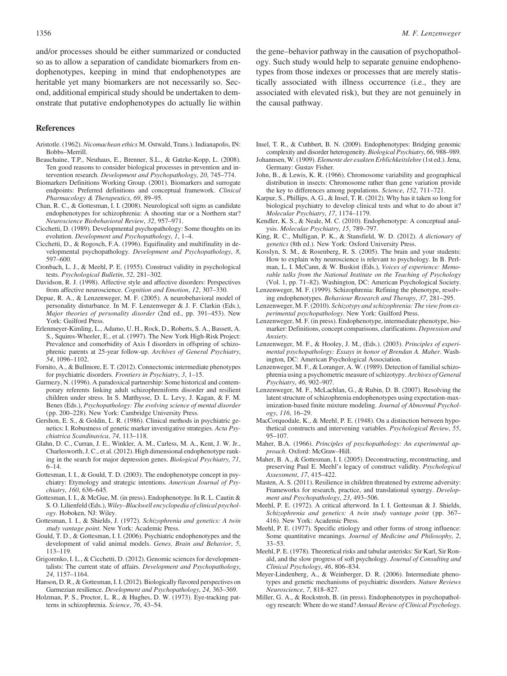<span id="page-9-0"></span>and/or processes should be either summarized or conducted so as to allow a separation of candidate biomarkers from endophenotypes, keeping in mind that endophenotypes are heritable yet many biomarkers are not necessarily so. Second, additional empirical study should be undertaken to demonstrate that putative endophenotypes do actually lie within

#### References

- Aristotle. (1962). Nicomachean ethics M. Ostwald, Trans.). Indianapolis, IN: Bobbs–Merrill.
- Beauchaine, T.P., Neuhaus, E., Brenner, S.L., & Gatzke-Kopp, L. (2008). Ten good reasons to consider biological processes in prevention and intervention research. Development and Psychopathology, 20, 745–774.
- Biomarkers Definitions Working Group. (2001). Biomarkers and surrogate endpoints: Preferred definitions and conceptual framework. Clinical Pharmacology & Therapeutics, 69, 89–95.
- Chan, R. C., & Gottesman, I. I. (2008). Neurological soft signs as candidate endophenotypes for schizophrenia: A shooting star or a Northern star? Neuroscience Biobehavioral Review, 32, 957–971.
- Cicchetti, D. (1989). Developmental psychopathology: Some thoughts on its evolution. Development and Psychopathology, 1, 1–4.
- Cicchetti, D., & Rogosch, F.A. (1996). Equifinality and multifinality in developmental psychopathology. Development and Psychopathology, 8, 597–600.
- Cronbach, L. J., & Meehl, P. E. (1955). Construct validity in psychological tests. Psychological Bulletin, 52, 281–302.
- Davidson, R. J. (1998). Affective style and affective disorders: Perspectives from affective neuroscience. Cognition and Emotion, 12, 307–330.
- Depue, R. A., & Lenzenweger, M. F. (2005). A neurobehavioral model of personality disturbance. In M. F. Lenzenweger & J. F. Clarkin (Eds.), Major theories of personality disorder (2nd ed., pp. 391–453). New York: Guilford Press.
- Erlenmeyer-Kimling, L., Adamo, U. H., Rock, D., Roberts, S. A., Bassett, A. S., Squires-Wheeler, E., et al. (1997). The New York High-Risk Project: Prevalence and comorbidity of Axis I disorders in offspring of schizophrenic parents at 25-year follow-up. Archives of General Psychiatry, 54, 1096–1102.
- Fornito, A., & Bullmore, E. T. (2012). Connectomic intermediate phenotypes for psychiatric disorders. Frontiers in Psychiatry, 3, 1–15.
- Garmezy, N. (1996). A paradoxical partnership: Some historical and contemporary referents linking adult schizophreniform disorder and resilient children under stress. In S. Matthysse, D. L. Levy, J. Kagan, & F. M. Benes (Eds.), Psychopathology: The evolving science of mental disorder (pp. 200–228). New York: Cambridge University Press.
- Gershon, E. S., & Goldin, L. R. (1986). Clinical methods in psychiatric genetics: I. Robustness of genetic marker investigative strategies. Acta Psychiatrica Scandinavica, 74, 113–118.
- Glahn, D. C., Curran, J. E., Winkler, A. M., Carless, M. A., Kent, J. W. Jr., Charlesworth, J. C., et al. (2012). High dimensional endophenotype ranking in the search for major depression genes. Biological Psychiatry, 71, 6–14.
- Gottesman, I. I., & Gould, T. D. (2003). The endophenotype concept in psychiatry: Etymology and strategic intentions. American Journal of Psychiatry, 160, 636–645.
- Gottesman, I. I., & McGue, M. (in press). Endophenotype. In R. L. Cautin & S. O. Lilienfeld (Eds.), Wiley–Blackwell encyclopedia of clinical psychology. Hoboken, NJ: Wiley.
- Gottesman, I. I., & Shields, J. (1972). Schizophrenia and genetics: A twin study vantage point. New York: Academic Press.
- Gould, T. D., & Gottesman, I. I. (2006). Psychiatric endophenotypes and the development of valid animal models. Genes, Brain and Behavior, 5, 113–119.
- Grigorenko, I. L., & Cicchetti, D. (2012). Genomic sciences for developmentalists: The current state of affairs. Development and Psychopathology, 24, 1157–1164.
- Hanson, D. R., & Gottesman, I. I. (2012). Biologically flavored perspectives on Garmezian resilience. Development and Psychopathology, 24, 363–369.
- Holzman, P. S., Proctor, L. R., & Hughes, D. W. (1973). Eye-tracking patterns in schizophrenia. Science, 76, 43–54.

the gene–behavior pathway in the causation of psychopathology. Such study would help to separate genuine endophenotypes from those indexes or processes that are merely statistically associated with illness occurrence (i.e., they are associated with elevated risk), but they are not genuinely in the causal pathway.

- Insel, T. R., & Cuthbert, B. N. (2009). Endophenotypes: Bridging genomic complexity and disorder heterogeneity. Biological Psychiatry, 66, 988–989.
- Johannsen, W. (1909). Elemente der exakten Erblichkeitslehre (1st ed.). Jena, Germany: Gustav Fisher.
- John, B., & Lewis, K. R. (1966). Chromosome variability and geographical distribution in insects: Chromosome rather than gene variation provide the key to differences among populations. Science, 152, 711–721.
- Karpur, S., Phillips, A. G., & Insel, T. R. (2012). Why has it taken so long for biological psychiatry to develop clinical tests and what to do about it? Molecular Psychiatry, 17, 1174–1179.
- Kendler, K. S., & Neale, M. C. (2010). Endophenotype: A conceptual analysis. Molecular Psychiatry, 15, 789–797.
- King, R. C., Mulligan, P. K., & Stansfield, W. D. (2012). A dictionary of genetics (8th ed.). New York: Oxford University Press.
- Kosslyn, S. M., & Rosenberg, R. S. (2005). The brain and your students: How to explain why neuroscience is relevant to psychology. In B. Perlman, L. I. McCann, & W. Buskist (Eds.), Voices of experience: Memorable talks from the National Institute on the Teaching of Psychology (Vol. 1, pp. 71–82). Washington, DC: American Psychological Society.
- Lenzenweger, M. F. (1999). Schizophrenia: Refining the phenotype, resolving endophenotypes. Behaviour Research and Therapy, 37, 281–295.
- Lenzenweger, M. F. (2010). Schizotypy and schizophrenia: The view from experimental psychopathology. New York: Guilford Press.
- Lenzenweger, M. F. (in press). Endophenotype, intermediate phenotype, biomarker: Definitions, concept comparisons, clarifications. Depression and Anxiety.
- Lenzenweger, M. F., & Hooley, J. M., (Eds.). (2003). Principles of experimental psychopathology: Essays in honor of Brendan A. Maher. Washington, DC: American Psychological Association.
- Lenzenweger, M. F., & Loranger, A. W. (1989). Detection of familial schizophrenia using a psychometric measure of schizotypy. Archives of General Psychiatry, 46, 902–907.
- Lenzenweger, M. F., McLachlan, G., & Rubin, D. B. (2007). Resolving the latent structure of schizophrenia endophenotypes using expectation-maximization-based finite mixture modeling. Journal of Abnormal Psychology, 116, 16–29.
- MacCorquodale, K., & Meehl, P. E. (1948). On a distinction between hypothetical constructs and intervening variables. Psychological Review, 55, 95–107.
- Maher, B.A. (1966). Principles of psychopathology: An experimental approach. Oxford: McGraw–Hill.
- Maher, B. A., & Gottesman, I. I. (2005). Deconstructing, reconstructing, and preserving Paul E. Meehl's legacy of construct validity. Psychological Assessment, 17, 415–422.
- Masten, A. S. (2011). Resilience in children threatened by extreme adversity: Frameworks for research, practice, and translational synergy. Development and Psychopathology, 23, 493–506.
- Meehl, P. E. (1972). A critical afterword. In I. I. Gottesman & J. Shields, Schizophrenia and genetics: A twin study vantage point (pp. 367– 416). New York: Academic Press.
- Meehl, P. E. (1977). Specific etiology and other forms of strong influence: Some quantitative meanings. Journal of Medicine and Philosophy, 2, 33–53.
- Meehl, P. E. (1978). Theoretical risks and tabular asterisks: Sir Karl, Sir Ronald, and the slow progress of soft psychology. Journal of Consulting and Clinical Psychology, 46, 806–834.
- Meyer-Lindenberg, A., & Weinberger, D. R. (2006). Intermediate phenotypes and genetic mechanisms of psychiatric disorders. Nature Reviews Neuroscience, 7, 818–827.
- Miller, G. A., & Rockstroh, B. (in press). Endophenotypes in psychopathology research: Where do we stand? Annual Review of Clinical Psychology.